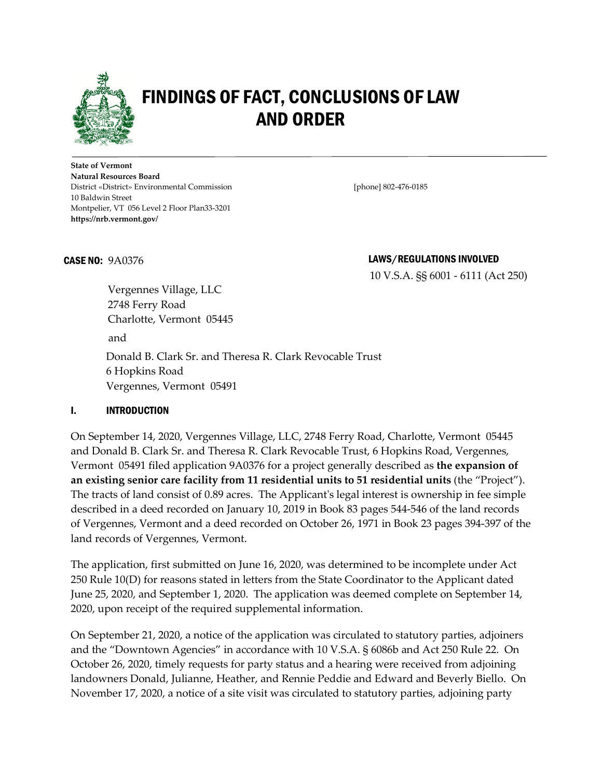

# FINDINGS OF FACT, CONCLUSIONS OF LAW AND ORDER

**State of Vermont Natural Resources Board** District «District» Environmental Commission [phone] 802-476-0185 10 Baldwin Street Montpelier, VT 056 Level 2 Floor Plan33-3201 **https://nrb.vermont.gov/**

#### CASE NO:9A0376 LAWS/REGULATIONS INVOLVED

10 V.S.A. §§ 6001 - 6111 (Act 250)

Vergennes Village, LLC 2748 Ferry Road Charlotte, Vermont 05445 and Donald B. Clark Sr. and Theresa R. Clark Revocable Trust 6 Hopkins Road Vergennes, Vermont 05491

#### I. INTRODUCTION

On September 14, 2020, Vergennes Village, LLC, 2748 Ferry Road, Charlotte, Vermont 05445 and Donald B. Clark Sr. and Theresa R. Clark Revocable Trust, 6 Hopkins Road, Vergennes, Vermont 05491 filed application 9A0376 for a project generally described as **the expansion of an existing senior care facility from 11 residential units to 51 residential units** (the "Project"). The tracts of land consist of 0.89 acres. The Applicant's legal interest is ownership in fee simple described in a deed recorded on January 10, 2019 in Book 83 pages 544-546 of the land records of Vergennes, Vermont and a deed recorded on October 26, 1971 in Book 23 pages 394-397 of the land records of Vergennes, Vermont.

The application, first submitted on June 16, 2020, was determined to be incomplete under Act 250 Rule 10(D) for reasons stated in letters from the State Coordinator to the Applicant dated June 25, 2020, and September 1, 2020. The application was deemed complete on September 14, 2020, upon receipt of the required supplemental information.

On September 21, 2020, a notice of the application was circulated to statutory parties, adjoiners and the "Downtown Agencies" in accordance with 10 V.S.A. § 6086b and Act 250 Rule 22. On October 26, 2020, timely requests for party status and a hearing were received from adjoining landowners Donald, Julianne, Heather, and Rennie Peddie and Edward and Beverly Biello. On November 17, 2020, a notice of a site visit was circulated to statutory parties, adjoining party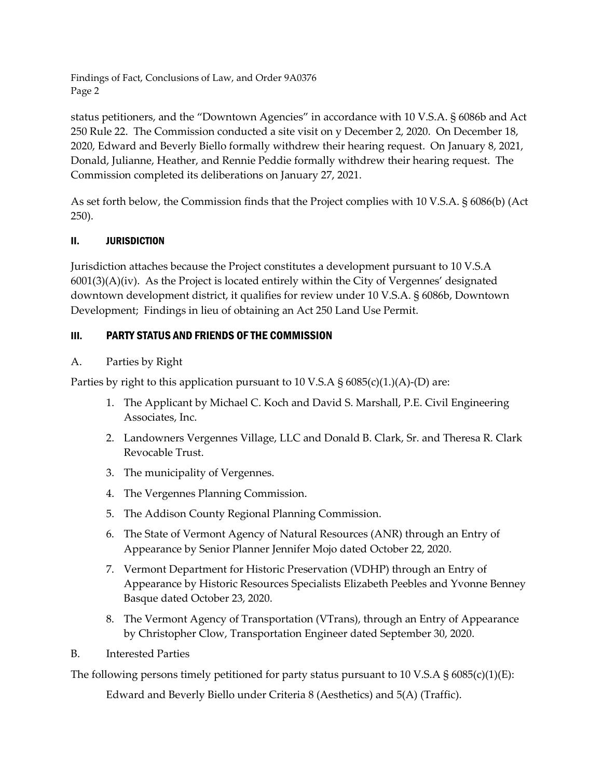status petitioners, and the "Downtown Agencies" in accordance with 10 V.S.A. § 6086b and Act 250 Rule 22. The Commission conducted a site visit on y December 2, 2020. On December 18, 2020, Edward and Beverly Biello formally withdrew their hearing request. On January 8, 2021, Donald, Julianne, Heather, and Rennie Peddie formally withdrew their hearing request. The Commission completed its deliberations on January 27, 2021.

As set forth below, the Commission finds that the Project complies with 10 V.S.A. § 6086(b) (Act 250).

# II. JURISDICTION

Jurisdiction attaches because the Project constitutes a development pursuant to 10 V.S.A 6001(3)(A)(iv). As the Project is located entirely within the City of Vergennes' designated downtown development district, it qualifies for review under 10 V.S.A. § 6086b, Downtown Development; Findings in lieu of obtaining an Act 250 Land Use Permit.

# III. PARTY STATUS AND FRIENDS OF THE COMMISSION

# A. Parties by Right

Parties by right to this application pursuant to 10 V.S.A § 6085(c)(1.)(A)-(D) are:

- 1. The Applicant by Michael C. Koch and David S. Marshall, P.E. Civil Engineering Associates, Inc.
- 2. Landowners Vergennes Village, LLC and Donald B. Clark, Sr. and Theresa R. Clark Revocable Trust.
- 3. The municipality of Vergennes.
- 4. The Vergennes Planning Commission.
- 5. The Addison County Regional Planning Commission.
- 6. The State of Vermont Agency of Natural Resources (ANR) through an Entry of Appearance by Senior Planner Jennifer Mojo dated October 22, 2020.
- 7. Vermont Department for Historic Preservation (VDHP) through an Entry of Appearance by Historic Resources Specialists Elizabeth Peebles and Yvonne Benney Basque dated October 23, 2020.
- 8. The Vermont Agency of Transportation (VTrans), through an Entry of Appearance by Christopher Clow, Transportation Engineer dated September 30, 2020.
- B. Interested Parties

The following persons timely petitioned for party status pursuant to 10 V.S.A  $\S$  6085(c)(1)(E):

Edward and Beverly Biello under Criteria 8 (Aesthetics) and 5(A) (Traffic).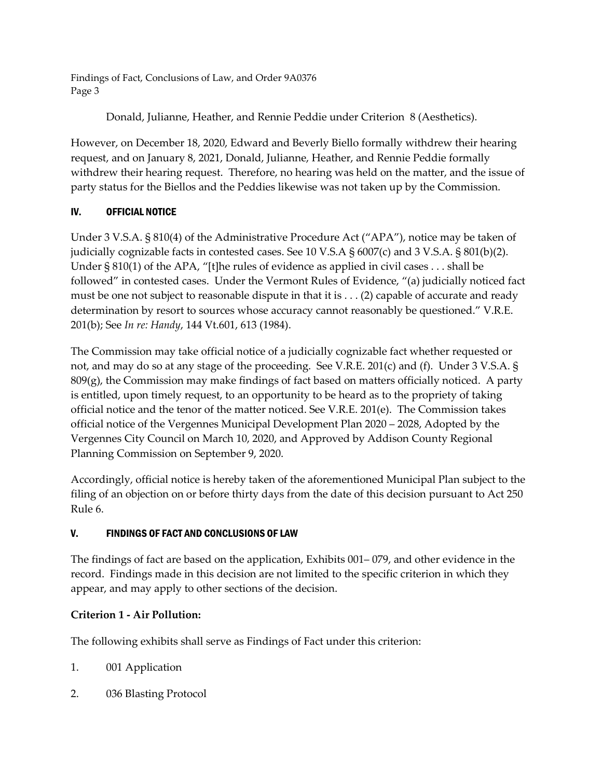Donald, Julianne, Heather, and Rennie Peddie under Criterion 8 (Aesthetics).

However, on December 18, 2020, Edward and Beverly Biello formally withdrew their hearing request, and on January 8, 2021, Donald, Julianne, Heather, and Rennie Peddie formally withdrew their hearing request. Therefore, no hearing was held on the matter, and the issue of party status for the Biellos and the Peddies likewise was not taken up by the Commission.

# IV. OFFICIAL NOTICE

Under 3 V.S.A. § 810(4) of the Administrative Procedure Act ("APA"), notice may be taken of judicially cognizable facts in contested cases. See 10 V.S.A § 6007(c) and 3 V.S.A. § 801(b)(2). Under  $\S 810(1)$  of the APA, "[t]he rules of evidence as applied in civil cases . . . shall be followed" in contested cases. Under the Vermont Rules of Evidence, "(a) judicially noticed fact must be one not subject to reasonable dispute in that it is . . . (2) capable of accurate and ready determination by resort to sources whose accuracy cannot reasonably be questioned." V.R.E. 201(b); See *In re: Handy*, 144 Vt.601, 613 (1984).

The Commission may take official notice of a judicially cognizable fact whether requested or not, and may do so at any stage of the proceeding. See V.R.E. 201(c) and (f). Under 3 V.S.A. §  $809(g)$ , the Commission may make findings of fact based on matters officially noticed. A party is entitled, upon timely request, to an opportunity to be heard as to the propriety of taking official notice and the tenor of the matter noticed. See V.R.E. 201(e). The Commission takes official notice of the Vergennes Municipal Development Plan 2020 – 2028, Adopted by the Vergennes City Council on March 10, 2020, and Approved by Addison County Regional Planning Commission on September 9, 2020.

Accordingly, official notice is hereby taken of the aforementioned Municipal Plan subject to the filing of an objection on or before thirty days from the date of this decision pursuant to Act 250 Rule 6.

# V. FINDINGS OF FACT AND CONCLUSIONS OF LAW

The findings of fact are based on the application, Exhibits 001– 079, and other evidence in the record. Findings made in this decision are not limited to the specific criterion in which they appear, and may apply to other sections of the decision.

# **Criterion 1 - Air Pollution:**

The following exhibits shall serve as Findings of Fact under this criterion:

- 1. 001 Application
- 2. 036 Blasting Protocol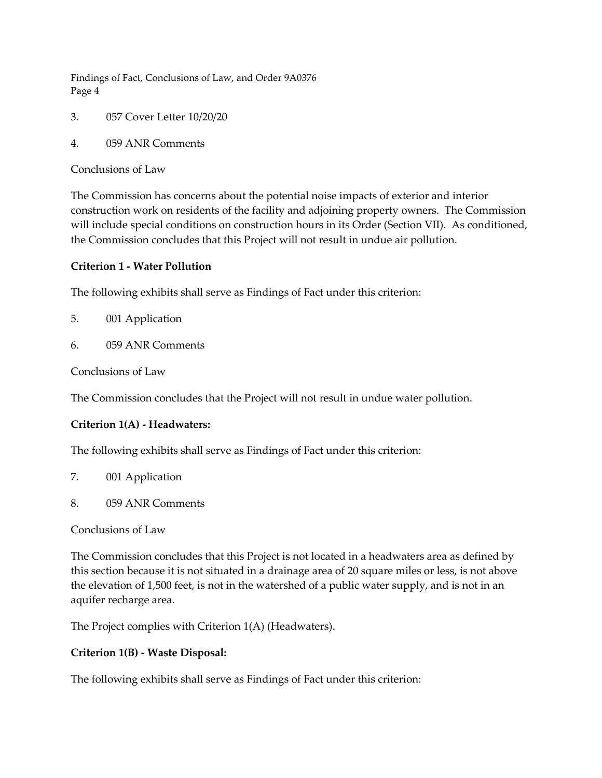- 3. 057 Cover Letter 10/20/20
- 4. 059 ANR Comments

Conclusions of Law

The Commission has concerns about the potential noise impacts of exterior and interior construction work on residents of the facility and adjoining property owners. The Commission will include special conditions on construction hours in its Order (Section VII). As conditioned, the Commission concludes that this Project will not result in undue air pollution.

#### **Criterion 1 - Water Pollution**

The following exhibits shall serve as Findings of Fact under this criterion:

- 5. 001 Application
- 6. 059 ANR Comments

Conclusions of Law

The Commission concludes that the Project will not result in undue water pollution.

# **Criterion 1(A) - Headwaters:**

The following exhibits shall serve as Findings of Fact under this criterion:

- 7. 001 Application
- 8. 059 ANR Comments

Conclusions of Law

The Commission concludes that this Project is not located in a headwaters area as defined by this section because it is not situated in a drainage area of 20 square miles or less, is not above the elevation of 1,500 feet, is not in the watershed of a public water supply, and is not in an aquifer recharge area.

The Project complies with Criterion 1(A) (Headwaters).

#### **Criterion 1(B) - Waste Disposal:**

The following exhibits shall serve as Findings of Fact under this criterion: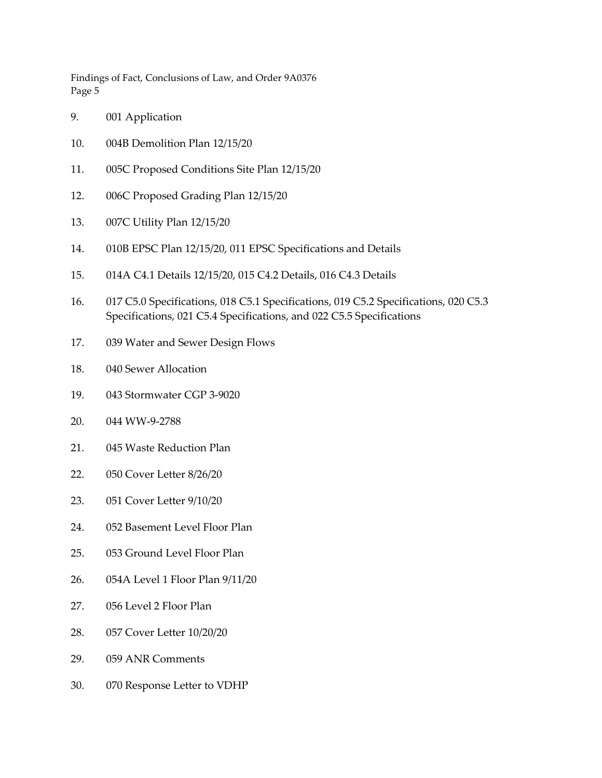- 9. 001 Application
- 10. 004B Demolition Plan 12/15/20
- 11. 005C Proposed Conditions Site Plan 12/15/20
- 12. 006C Proposed Grading Plan 12/15/20
- 13. 007C Utility Plan 12/15/20
- 14. 010B EPSC Plan 12/15/20, 011 EPSC Specifications and Details
- 15. 014A C4.1 Details 12/15/20, 015 C4.2 Details, 016 C4.3 Details
- 16. 017 C5.0 Specifications, 018 C5.1 Specifications, 019 C5.2 Specifications, 020 C5.3 Specifications, 021 C5.4 Specifications, and 022 C5.5 Specifications
- 17. 039 Water and Sewer Design Flows
- 18. 040 Sewer Allocation
- 19. 043 Stormwater CGP 3-9020
- 20. 044 WW-9-2788
- 21. 045 Waste Reduction Plan
- 22. 050 Cover Letter 8/26/20
- 23. 051 Cover Letter 9/10/20
- 24. 052 Basement Level Floor Plan
- 25. 053 Ground Level Floor Plan
- 26. 054A Level 1 Floor Plan 9/11/20
- 27. 056 Level 2 Floor Plan
- 28. 057 Cover Letter 10/20/20
- 29. 059 ANR Comments
- 30. 070 Response Letter to VDHP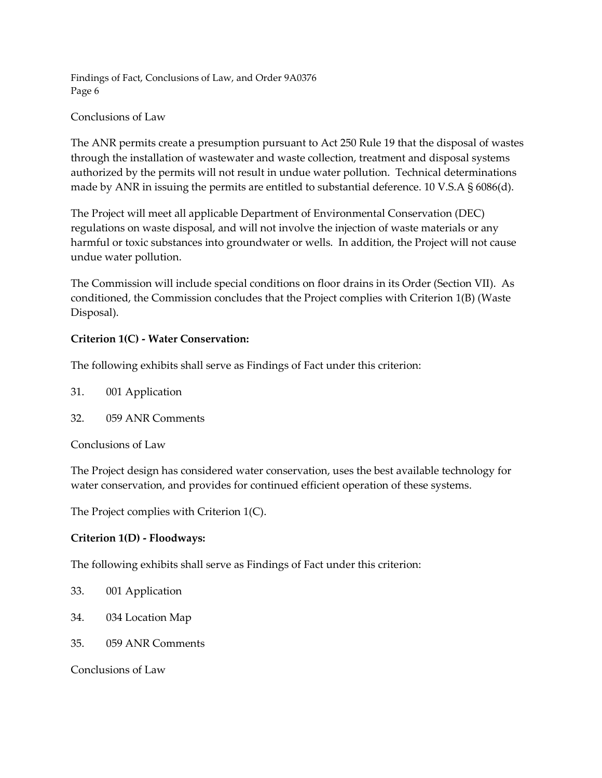# Conclusions of Law

The ANR permits create a presumption pursuant to Act 250 Rule 19 that the disposal of wastes through the installation of wastewater and waste collection, treatment and disposal systems authorized by the permits will not result in undue water pollution. Technical determinations made by ANR in issuing the permits are entitled to substantial deference. 10 V.S.A § 6086(d).

The Project will meet all applicable Department of Environmental Conservation (DEC) regulations on waste disposal, and will not involve the injection of waste materials or any harmful or toxic substances into groundwater or wells. In addition, the Project will not cause undue water pollution.

The Commission will include special conditions on floor drains in its Order (Section VII). As conditioned, the Commission concludes that the Project complies with Criterion 1(B) (Waste Disposal).

# **Criterion 1(C) - Water Conservation:**

The following exhibits shall serve as Findings of Fact under this criterion:

- 31. 001 Application
- 32. 059 ANR Comments

Conclusions of Law

The Project design has considered water conservation, uses the best available technology for water conservation, and provides for continued efficient operation of these systems.

The Project complies with Criterion 1(C).

# **Criterion 1(D) - Floodways:**

The following exhibits shall serve as Findings of Fact under this criterion:

- 33. 001 Application
- 34. 034 Location Map
- 35. 059 ANR Comments

Conclusions of Law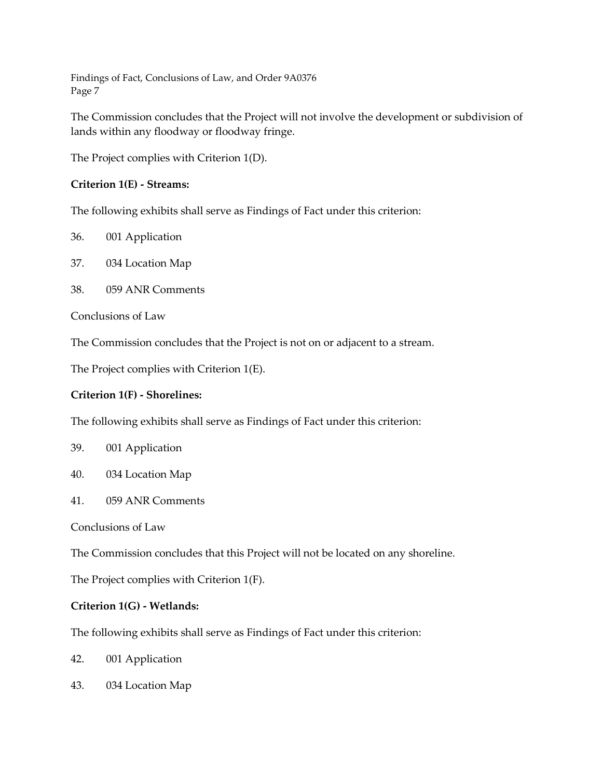The Commission concludes that the Project will not involve the development or subdivision of lands within any floodway or floodway fringe.

The Project complies with Criterion 1(D).

# **Criterion 1(E) - Streams:**

The following exhibits shall serve as Findings of Fact under this criterion:

- 36. 001 Application
- 37. 034 Location Map
- 38. 059 ANR Comments

Conclusions of Law

The Commission concludes that the Project is not on or adjacent to a stream.

The Project complies with Criterion 1(E).

#### **Criterion 1(F) - Shorelines:**

The following exhibits shall serve as Findings of Fact under this criterion:

#### 39. 001 Application

- 40. 034 Location Map
- 41. 059 ANR Comments

Conclusions of Law

The Commission concludes that this Project will not be located on any shoreline.

The Project complies with Criterion 1(F).

#### **Criterion 1(G) - Wetlands:**

The following exhibits shall serve as Findings of Fact under this criterion:

- 42. 001 Application
- 43. 034 Location Map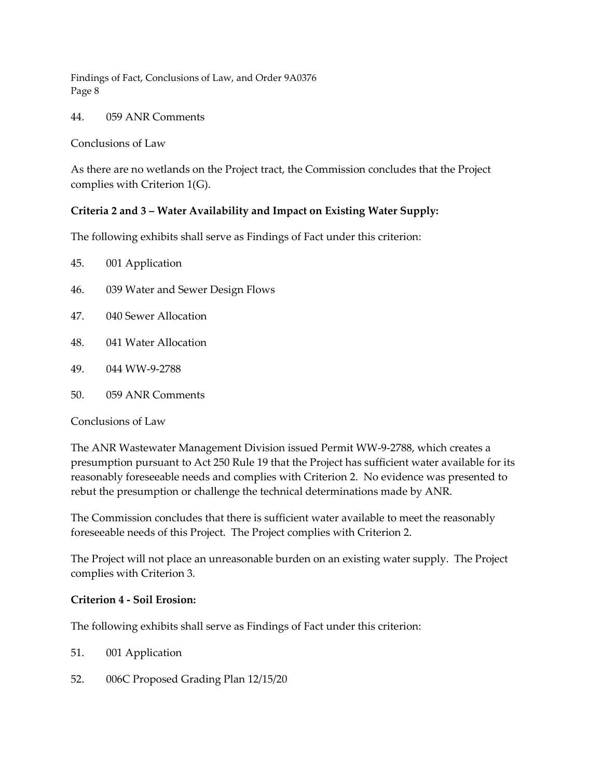44. 059 ANR Comments

Conclusions of Law

As there are no wetlands on the Project tract, the Commission concludes that the Project complies with Criterion 1(G).

# **Criteria 2 and 3 – Water Availability and Impact on Existing Water Supply:**

The following exhibits shall serve as Findings of Fact under this criterion:

| 45. |  | 001 Application |  |
|-----|--|-----------------|--|
|     |  |                 |  |

- 46. 039 Water and Sewer Design Flows
- 47. 040 Sewer Allocation
- 48. 041 Water Allocation
- 49. 044 WW-9-2788
- 50. 059 ANR Comments

Conclusions of Law

The ANR Wastewater Management Division issued Permit WW-9-2788, which creates a presumption pursuant to Act 250 Rule 19 that the Project has sufficient water available for its reasonably foreseeable needs and complies with Criterion 2. No evidence was presented to rebut the presumption or challenge the technical determinations made by ANR.

The Commission concludes that there is sufficient water available to meet the reasonably foreseeable needs of this Project. The Project complies with Criterion 2.

The Project will not place an unreasonable burden on an existing water supply. The Project complies with Criterion 3.

#### **Criterion 4 - Soil Erosion:**

The following exhibits shall serve as Findings of Fact under this criterion:

51. 001 Application

52. 006C Proposed Grading Plan 12/15/20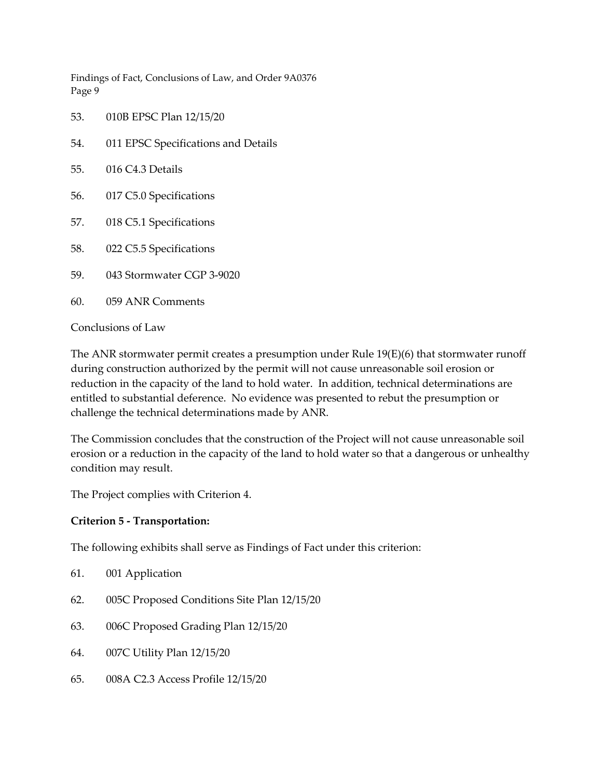- 53. 010B EPSC Plan 12/15/20
- 54. 011 EPSC Specifications and Details
- 55. 016 C4.3 Details
- 56. 017 C5.0 Specifications
- 57. 018 C5.1 Specifications
- 58. 022 C5.5 Specifications
- 59. 043 Stormwater CGP 3-9020
- 60. 059 ANR Comments

Conclusions of Law

The ANR stormwater permit creates a presumption under Rule 19(E)(6) that stormwater runoff during construction authorized by the permit will not cause unreasonable soil erosion or reduction in the capacity of the land to hold water. In addition, technical determinations are entitled to substantial deference. No evidence was presented to rebut the presumption or challenge the technical determinations made by ANR.

The Commission concludes that the construction of the Project will not cause unreasonable soil erosion or a reduction in the capacity of the land to hold water so that a dangerous or unhealthy condition may result.

The Project complies with Criterion 4.

#### **Criterion 5 - Transportation:**

The following exhibits shall serve as Findings of Fact under this criterion:

- 61. 001 Application
- 62. 005C Proposed Conditions Site Plan 12/15/20
- 63. 006C Proposed Grading Plan 12/15/20
- 64. 007C Utility Plan 12/15/20
- 65. 008A C2.3 Access Profile 12/15/20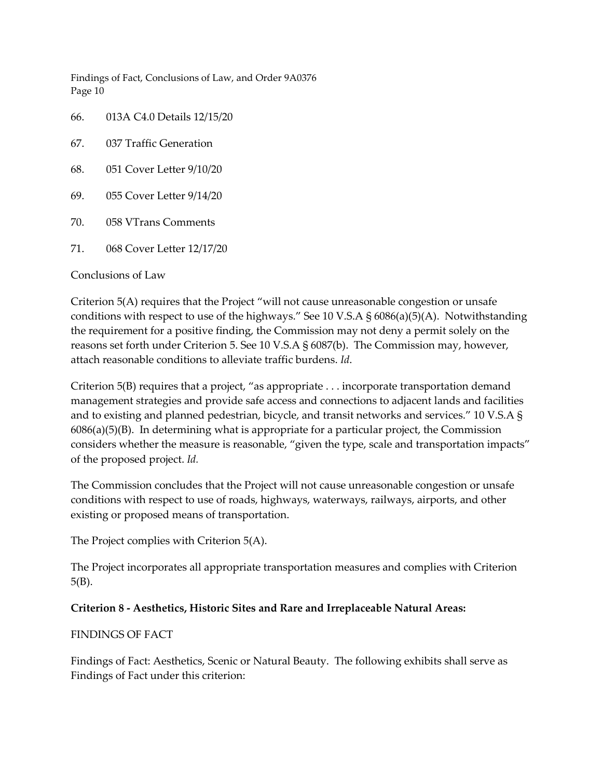66. 013A C4.0 Details 12/15/20

- 67. 037 Traffic Generation
- 68. 051 Cover Letter 9/10/20
- 69. 055 Cover Letter 9/14/20
- 70. 058 VTrans Comments
- 71. 068 Cover Letter 12/17/20

#### Conclusions of Law

Criterion 5(A) requires that the Project "will not cause unreasonable congestion or unsafe conditions with respect to use of the highways." See 10 V.S.A § 6086(a)(5)(A). Notwithstanding the requirement for a positive finding, the Commission may not deny a permit solely on the reasons set forth under Criterion 5. See 10 V.S.A § 6087(b). The Commission may, however, attach reasonable conditions to alleviate traffic burdens. *Id*.

Criterion 5(B) requires that a project, "as appropriate . . . incorporate transportation demand management strategies and provide safe access and connections to adjacent lands and facilities and to existing and planned pedestrian, bicycle, and transit networks and services." 10 V.S.A § 6086(a)(5)(B). In determining what is appropriate for a particular project, the Commission considers whether the measure is reasonable, "given the type, scale and transportation impacts" of the proposed project. *Id.*

The Commission concludes that the Project will not cause unreasonable congestion or unsafe conditions with respect to use of roads, highways, waterways, railways, airports, and other existing or proposed means of transportation.

The Project complies with Criterion 5(A).

The Project incorporates all appropriate transportation measures and complies with Criterion 5(B).

#### **Criterion 8 - Aesthetics, Historic Sites and Rare and Irreplaceable Natural Areas:**

#### FINDINGS OF FACT

Findings of Fact: Aesthetics, Scenic or Natural Beauty. The following exhibits shall serve as Findings of Fact under this criterion: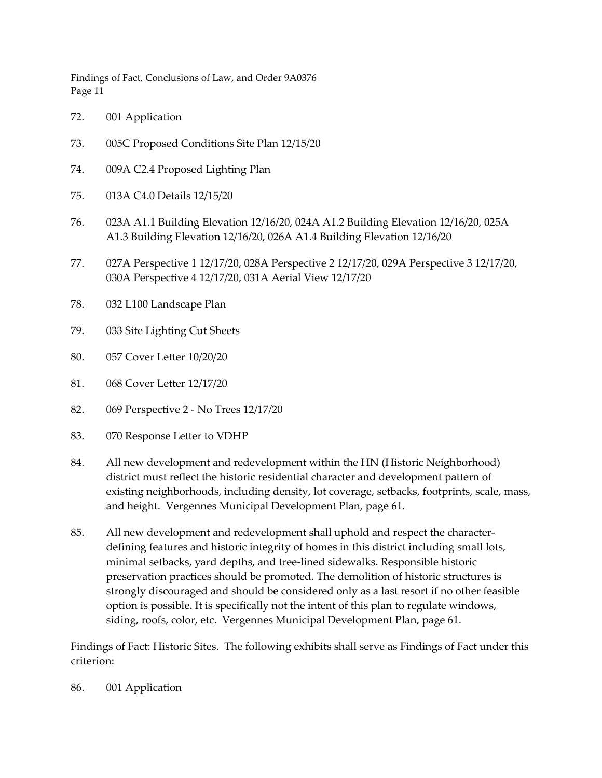- 72. 001 Application
- 73. 005C Proposed Conditions Site Plan 12/15/20
- 74. 009A C2.4 Proposed Lighting Plan
- 75. 013A C4.0 Details 12/15/20
- 76. 023A A1.1 Building Elevation 12/16/20, 024A A1.2 Building Elevation 12/16/20, 025A A1.3 Building Elevation 12/16/20, 026A A1.4 Building Elevation 12/16/20
- 77. 027A Perspective 1 12/17/20, 028A Perspective 2 12/17/20, 029A Perspective 3 12/17/20, 030A Perspective 4 12/17/20, 031A Aerial View 12/17/20
- 78. 032 L100 Landscape Plan
- 79. 033 Site Lighting Cut Sheets
- 80. 057 Cover Letter 10/20/20
- 81. 068 Cover Letter 12/17/20
- 82. 069 Perspective 2 No Trees 12/17/20
- 83. 070 Response Letter to VDHP
- 84. All new development and redevelopment within the HN (Historic Neighborhood) district must reflect the historic residential character and development pattern of existing neighborhoods, including density, lot coverage, setbacks, footprints, scale, mass, and height. Vergennes Municipal Development Plan, page 61.
- 85. All new development and redevelopment shall uphold and respect the characterdefining features and historic integrity of homes in this district including small lots, minimal setbacks, yard depths, and tree-lined sidewalks. Responsible historic preservation practices should be promoted. The demolition of historic structures is strongly discouraged and should be considered only as a last resort if no other feasible option is possible. It is specifically not the intent of this plan to regulate windows, siding, roofs, color, etc. Vergennes Municipal Development Plan, page 61.

Findings of Fact: Historic Sites. The following exhibits shall serve as Findings of Fact under this criterion:

86. 001 Application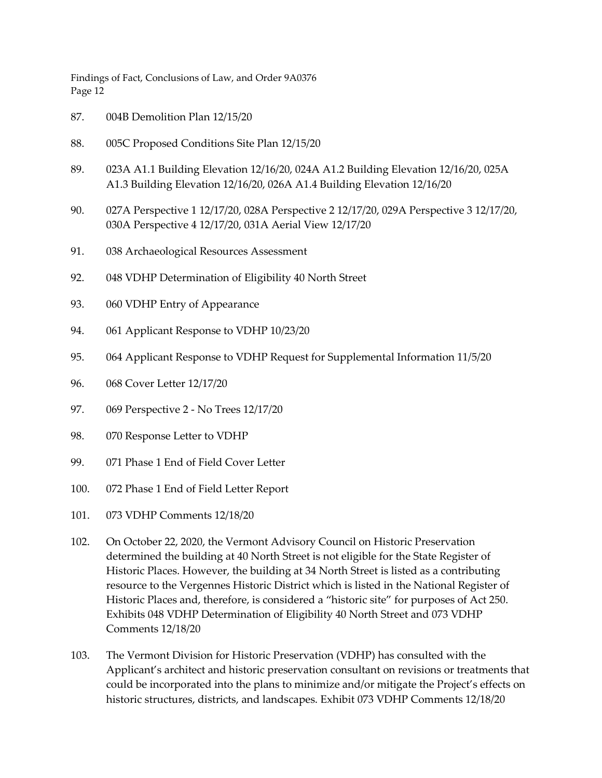- 87. 004B Demolition Plan 12/15/20
- 88. 005C Proposed Conditions Site Plan 12/15/20
- 89. 023A A1.1 Building Elevation 12/16/20, 024A A1.2 Building Elevation 12/16/20, 025A A1.3 Building Elevation 12/16/20, 026A A1.4 Building Elevation 12/16/20
- 90. 027A Perspective 1 12/17/20, 028A Perspective 2 12/17/20, 029A Perspective 3 12/17/20, 030A Perspective 4 12/17/20, 031A Aerial View 12/17/20
- 91. 038 Archaeological Resources Assessment
- 92. 048 VDHP Determination of Eligibility 40 North Street
- 93. 060 VDHP Entry of Appearance
- 94. 061 Applicant Response to VDHP 10/23/20
- 95. 064 Applicant Response to VDHP Request for Supplemental Information 11/5/20
- 96. 068 Cover Letter 12/17/20
- 97. 069 Perspective 2 No Trees 12/17/20
- 98. 070 Response Letter to VDHP
- 99. 071 Phase 1 End of Field Cover Letter
- 100. 072 Phase 1 End of Field Letter Report
- 101. 073 VDHP Comments 12/18/20
- 102. On October 22, 2020, the Vermont Advisory Council on Historic Preservation determined the building at 40 North Street is not eligible for the State Register of Historic Places. However, the building at 34 North Street is listed as a contributing resource to the Vergennes Historic District which is listed in the National Register of Historic Places and, therefore, is considered a "historic site" for purposes of Act 250. Exhibits 048 VDHP Determination of Eligibility 40 North Street and 073 VDHP Comments 12/18/20
- 103. The Vermont Division for Historic Preservation (VDHP) has consulted with the Applicant's architect and historic preservation consultant on revisions or treatments that could be incorporated into the plans to minimize and/or mitigate the Project's effects on historic structures, districts, and landscapes. Exhibit 073 VDHP Comments 12/18/20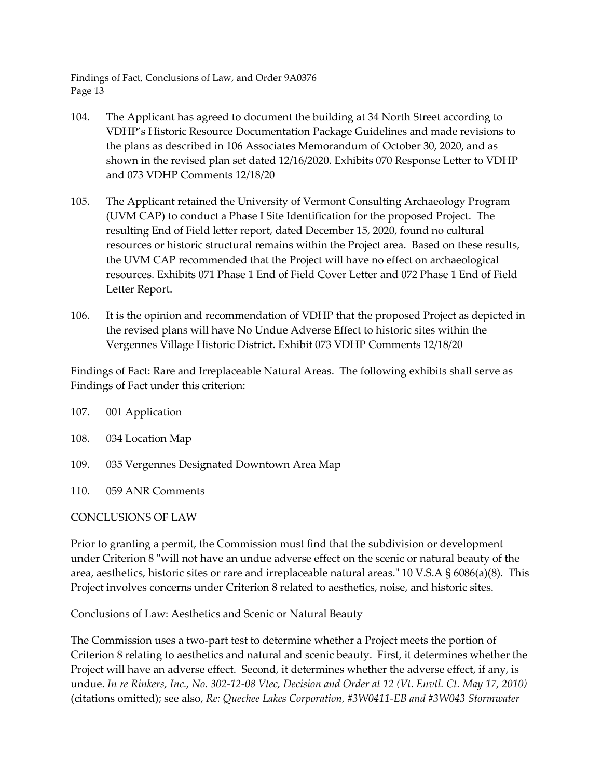- 104. The Applicant has agreed to document the building at 34 North Street according to VDHP's Historic Resource Documentation Package Guidelines and made revisions to the plans as described in 106 Associates Memorandum of October 30, 2020, and as shown in the revised plan set dated 12/16/2020. Exhibits 070 Response Letter to VDHP and 073 VDHP Comments 12/18/20
- 105. The Applicant retained the University of Vermont Consulting Archaeology Program (UVM CAP) to conduct a Phase I Site Identification for the proposed Project. The resulting End of Field letter report, dated December 15, 2020, found no cultural resources or historic structural remains within the Project area. Based on these results, the UVM CAP recommended that the Project will have no effect on archaeological resources. Exhibits 071 Phase 1 End of Field Cover Letter and 072 Phase 1 End of Field Letter Report.
- 106. It is the opinion and recommendation of VDHP that the proposed Project as depicted in the revised plans will have No Undue Adverse Effect to historic sites within the Vergennes Village Historic District. Exhibit 073 VDHP Comments 12/18/20

Findings of Fact: Rare and Irreplaceable Natural Areas. The following exhibits shall serve as Findings of Fact under this criterion:

108. 034 Location Map

- 109. 035 Vergennes Designated Downtown Area Map
- 110. 059 ANR Comments

#### CONCLUSIONS OF LAW

Prior to granting a permit, the Commission must find that the subdivision or development under Criterion 8 "will not have an undue adverse effect on the scenic or natural beauty of the area, aesthetics, historic sites or rare and irreplaceable natural areas." 10 V.S.A § 6086(a)(8). This Project involves concerns under Criterion 8 related to aesthetics, noise, and historic sites.

Conclusions of Law: Aesthetics and Scenic or Natural Beauty

The Commission uses a two-part test to determine whether a Project meets the portion of Criterion 8 relating to aesthetics and natural and scenic beauty. First, it determines whether the Project will have an adverse effect. Second, it determines whether the adverse effect, if any, is undue. *In re Rinkers, Inc., No. 302-12-08 Vtec, Decision and Order at 12 (Vt. Envtl. Ct. May 17, 2010)* (citations omitted); see also, *Re: Quechee Lakes Corporation, #3W0411-EB and #3W043 Stormwater*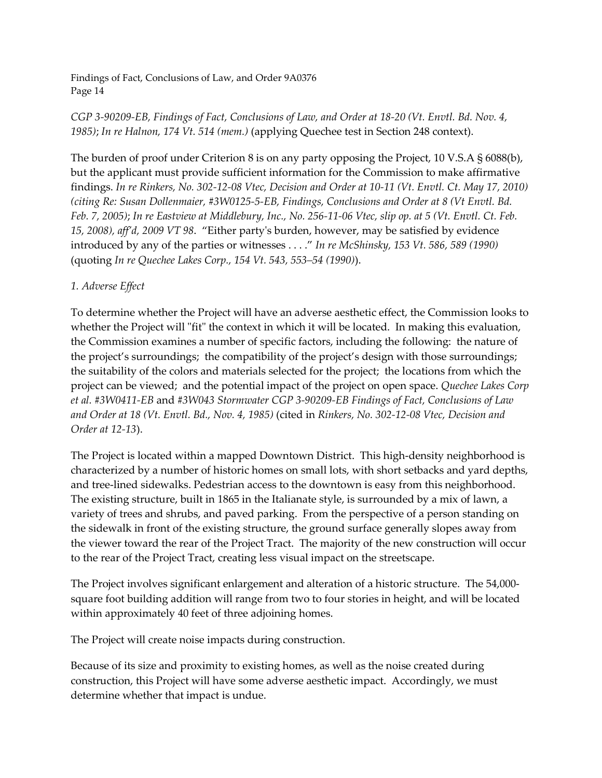# *CGP 3-90209-EB, Findings of Fact, Conclusions of Law, and Order at 18-20 (Vt. Envtl. Bd. Nov. 4, 1985)*; *In re Halnon, 174 Vt. 514 (mem.)* (applying Quechee test in Section 248 context).

The burden of proof under Criterion 8 is on any party opposing the Project, 10 V.S.A § 6088(b), but the applicant must provide sufficient information for the Commission to make affirmative findings. *In re Rinkers, No. 302-12-08 Vtec, Decision and Order at 10-11 (Vt. Envtl. Ct. May 17, 2010) (citing Re: Susan Dollenmaier, #3W0125-5-EB, Findings, Conclusions and Order at 8 (Vt Envtl. Bd. Feb. 7, 2005)*; *In re Eastview at Middlebury, Inc., No. 256-11-06 Vtec, slip op. at 5 (Vt. Envtl. Ct. Feb. 15, 2008), aff'd, 2009 VT 98*. "Either party's burden, however, may be satisfied by evidence introduced by any of the parties or witnesses . . . ." *In re McShinsky, 153 Vt. 586, 589 (1990)* (quoting *In re Quechee Lakes Corp., 154 Vt. 543, 553–54 (1990)*).

# *1. Adverse Effect*

To determine whether the Project will have an adverse aesthetic effect, the Commission looks to whether the Project will "fit" the context in which it will be located. In making this evaluation, the Commission examines a number of specific factors, including the following: the nature of the project's surroundings; the compatibility of the project's design with those surroundings; the suitability of the colors and materials selected for the project; the locations from which the project can be viewed; and the potential impact of the project on open space. *Quechee Lakes Corp et al. #3W0411-EB* and *#3W043 Stormwater CGP 3-90209-EB Findings of Fact, Conclusions of Law and Order at 18 (Vt. Envtl. Bd., Nov. 4, 1985)* (cited in *Rinkers, No. 302-12-08 Vtec, Decision and Order at 12-13*).

The Project is located within a mapped Downtown District. This high-density neighborhood is characterized by a number of historic homes on small lots, with short setbacks and yard depths, and tree-lined sidewalks. Pedestrian access to the downtown is easy from this neighborhood. The existing structure, built in 1865 in the Italianate style, is surrounded by a mix of lawn, a variety of trees and shrubs, and paved parking. From the perspective of a person standing on the sidewalk in front of the existing structure, the ground surface generally slopes away from the viewer toward the rear of the Project Tract. The majority of the new construction will occur to the rear of the Project Tract, creating less visual impact on the streetscape.

The Project involves significant enlargement and alteration of a historic structure. The 54,000 square foot building addition will range from two to four stories in height, and will be located within approximately 40 feet of three adjoining homes.

The Project will create noise impacts during construction.

Because of its size and proximity to existing homes, as well as the noise created during construction, this Project will have some adverse aesthetic impact. Accordingly, we must determine whether that impact is undue.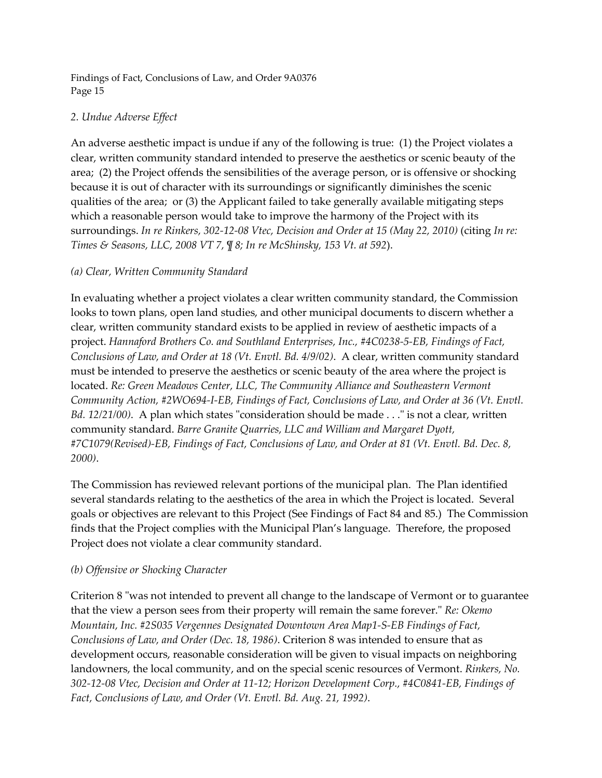# *2. Undue Adverse Effect*

An adverse aesthetic impact is undue if any of the following is true: (1) the Project violates a clear, written community standard intended to preserve the aesthetics or scenic beauty of the area; (2) the Project offends the sensibilities of the average person, or is offensive or shocking because it is out of character with its surroundings or significantly diminishes the scenic qualities of the area; or (3) the Applicant failed to take generally available mitigating steps which a reasonable person would take to improve the harmony of the Project with its surroundings. *In re Rinkers, 302-12-08 Vtec, Decision and Order at 15 (May 22, 2010)* (citing *In re: Times & Seasons, LLC, 2008 VT 7, ¶ 8; In re McShinsky, 153 Vt. at 592*).

# *(a) Clear, Written Community Standard*

In evaluating whether a project violates a clear written community standard, the Commission looks to town plans, open land studies, and other municipal documents to discern whether a clear, written community standard exists to be applied in review of aesthetic impacts of a project. *Hannaford Brothers Co. and Southland Enterprises, Inc., #4C0238-5-EB, Findings of Fact, Conclusions of Law, and Order at 18 (Vt. Envtl. Bd. 4/9/02)*. A clear, written community standard must be intended to preserve the aesthetics or scenic beauty of the area where the project is located. *Re: Green Meadows Center, LLC, The Community Alliance and Southeastern Vermont Community Action, #2WO694-I-EB, Findings of Fact, Conclusions of Law, and Order at 36 (Vt. Envtl. Bd. 12/21/00*). A plan which states "consideration should be made . . ." is not a clear, written community standard. *Barre Granite Quarries, LLC and William and Margaret Dyott, #7C1079(Revised)-EB, Findings of Fact, Conclusions of Law, and Order at 81 (Vt. Envtl. Bd. Dec. 8, 2000)*.

The Commission has reviewed relevant portions of the municipal plan. The Plan identified several standards relating to the aesthetics of the area in which the Project is located. Several goals or objectives are relevant to this Project (See Findings of Fact 84 and 85.) The Commission finds that the Project complies with the Municipal Plan's language. Therefore, the proposed Project does not violate a clear community standard.

#### *(b) Offensive or Shocking Character*

Criterion 8 "was not intended to prevent all change to the landscape of Vermont or to guarantee that the view a person sees from their property will remain the same forever." *Re: Okemo Mountain, Inc. #2S035 Vergennes Designated Downtown Area Map1-S-EB Findings of Fact, Conclusions of Law, and Order (Dec. 18, 1986)*. Criterion 8 was intended to ensure that as development occurs, reasonable consideration will be given to visual impacts on neighboring landowners, the local community, and on the special scenic resources of Vermont. *Rinkers, No. 302-12-08 Vtec, Decision and Order at 11-12; Horizon Development Corp., #4C0841-EB, Findings of Fact, Conclusions of Law, and Order (Vt. Envtl. Bd. Aug. 21, 1992)*.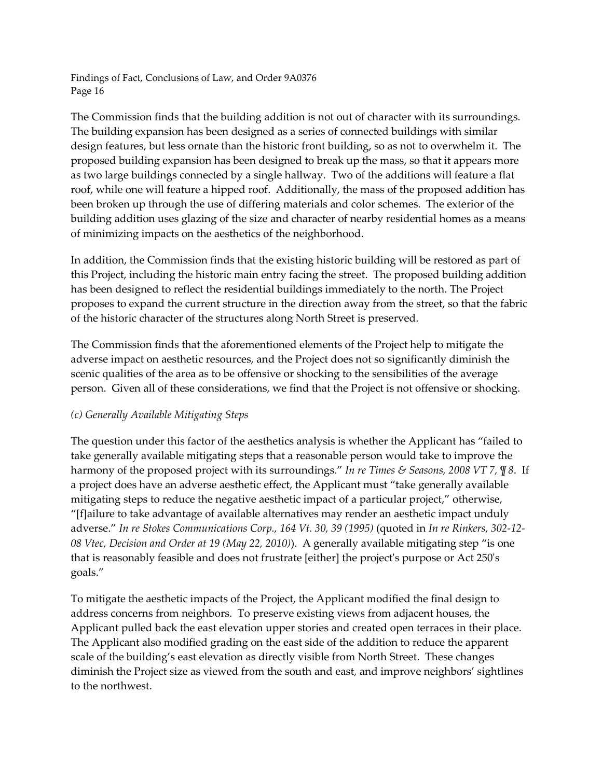The Commission finds that the building addition is not out of character with its surroundings. The building expansion has been designed as a series of connected buildings with similar design features, but less ornate than the historic front building, so as not to overwhelm it. The proposed building expansion has been designed to break up the mass, so that it appears more as two large buildings connected by a single hallway. Two of the additions will feature a flat roof, while one will feature a hipped roof. Additionally, the mass of the proposed addition has been broken up through the use of differing materials and color schemes. The exterior of the building addition uses glazing of the size and character of nearby residential homes as a means of minimizing impacts on the aesthetics of the neighborhood.

In addition, the Commission finds that the existing historic building will be restored as part of this Project, including the historic main entry facing the street. The proposed building addition has been designed to reflect the residential buildings immediately to the north. The Project proposes to expand the current structure in the direction away from the street, so that the fabric of the historic character of the structures along North Street is preserved.

The Commission finds that the aforementioned elements of the Project help to mitigate the adverse impact on aesthetic resources, and the Project does not so significantly diminish the scenic qualities of the area as to be offensive or shocking to the sensibilities of the average person. Given all of these considerations, we find that the Project is not offensive or shocking.

# *(c) Generally Available Mitigating Steps*

The question under this factor of the aesthetics analysis is whether the Applicant has "failed to take generally available mitigating steps that a reasonable person would take to improve the harmony of the proposed project with its surroundings." *In re Times & Seasons, 2008 VT 7, ¶ 8*. If a project does have an adverse aesthetic effect, the Applicant must "take generally available mitigating steps to reduce the negative aesthetic impact of a particular project," otherwise, "[f]ailure to take advantage of available alternatives may render an aesthetic impact unduly adverse." *In re Stokes Communications Corp., 164 Vt. 30, 39 (1995)* (quoted in *In re Rinkers, 302-12- 08 Vtec, Decision and Order at 19 (May 22, 2010)*). A generally available mitigating step "is one that is reasonably feasible and does not frustrate [either] the project's purpose or Act 250's goals."

To mitigate the aesthetic impacts of the Project, the Applicant modified the final design to address concerns from neighbors. To preserve existing views from adjacent houses, the Applicant pulled back the east elevation upper stories and created open terraces in their place. The Applicant also modified grading on the east side of the addition to reduce the apparent scale of the building's east elevation as directly visible from North Street. These changes diminish the Project size as viewed from the south and east, and improve neighbors' sightlines to the northwest.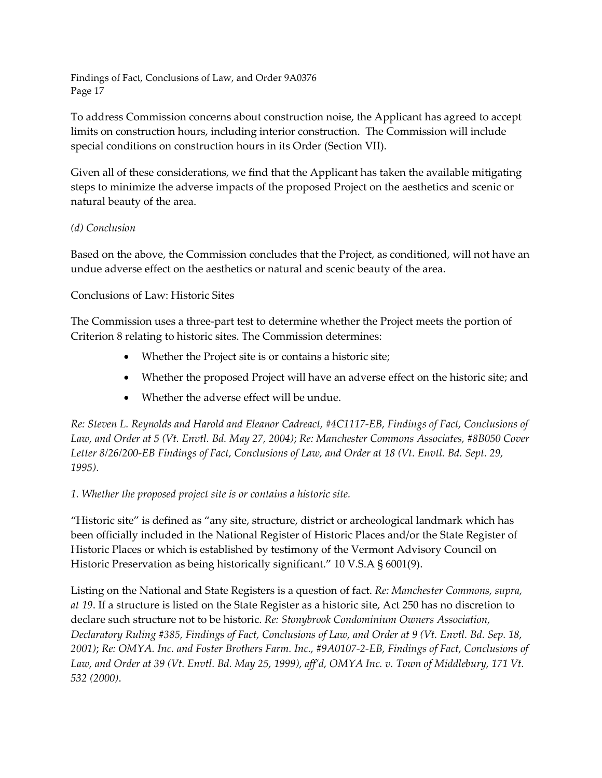To address Commission concerns about construction noise, the Applicant has agreed to accept limits on construction hours, including interior construction. The Commission will include special conditions on construction hours in its Order (Section VII).

Given all of these considerations, we find that the Applicant has taken the available mitigating steps to minimize the adverse impacts of the proposed Project on the aesthetics and scenic or natural beauty of the area.

# *(d) Conclusion*

Based on the above, the Commission concludes that the Project, as conditioned, will not have an undue adverse effect on the aesthetics or natural and scenic beauty of the area.

# Conclusions of Law: Historic Sites

The Commission uses a three-part test to determine whether the Project meets the portion of Criterion 8 relating to historic sites. The Commission determines:

- Whether the Project site is or contains a historic site;
- Whether the proposed Project will have an adverse effect on the historic site; and
- Whether the adverse effect will be undue.

*Re: Steven L. Reynolds and Harold and Eleanor Cadreact, #4C1117-EB, Findings of Fact, Conclusions of Law, and Order at 5 (Vt. Envtl. Bd. May 27, 2004)*; *Re: Manchester Commons Associates, #8B050 Cover Letter 8/26/200-EB Findings of Fact, Conclusions of Law, and Order at 18 (Vt. Envtl. Bd. Sept. 29, 1995)*.

# *1. Whether the proposed project site is or contains a historic site.*

"Historic site" is defined as "any site, structure, district or archeological landmark which has been officially included in the National Register of Historic Places and/or the State Register of Historic Places or which is established by testimony of the Vermont Advisory Council on Historic Preservation as being historically significant." 10 V.S.A § 6001(9).

Listing on the National and State Registers is a question of fact. *Re: Manchester Commons, supra, at 19*. If a structure is listed on the State Register as a historic site, Act 250 has no discretion to declare such structure not to be historic. *Re: Stonybrook Condominium Owners Association, Declaratory Ruling #385, Findings of Fact, Conclusions of Law, and Order at 9 (Vt. Envtl. Bd. Sep. 18, 2001)*; *Re: OMYA. Inc. and Foster Brothers Farm. Inc., #9A0107-2-EB, Findings of Fact, Conclusions of Law, and Order at 39 (Vt. Envtl. Bd. May 25, 1999), aff'd, OMYA Inc. v. Town of Middlebury, 171 Vt. 532 (2000)*.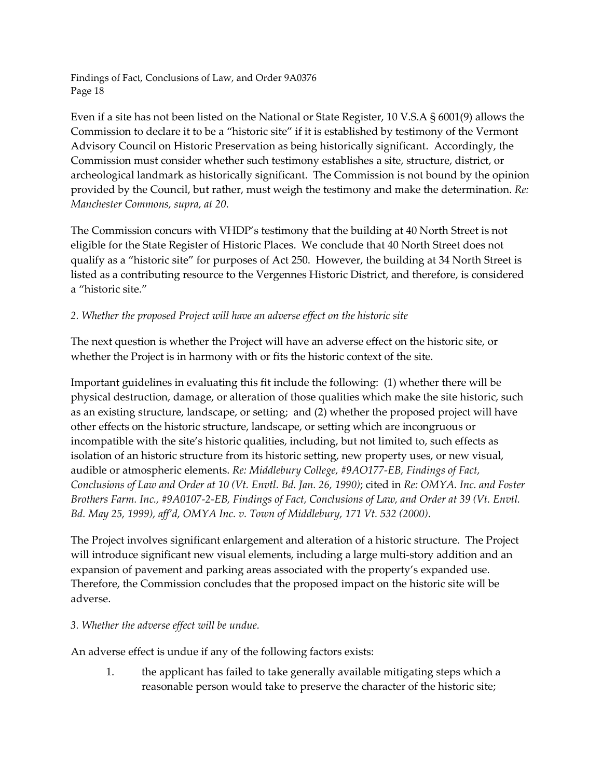Even if a site has not been listed on the National or State Register, 10 V.S.A § 6001(9) allows the Commission to declare it to be a "historic site" if it is established by testimony of the Vermont Advisory Council on Historic Preservation as being historically significant. Accordingly, the Commission must consider whether such testimony establishes a site, structure, district, or archeological landmark as historically significant. The Commission is not bound by the opinion provided by the Council, but rather, must weigh the testimony and make the determination. *Re: Manchester Commons, supra, at 20*.

The Commission concurs with VHDP's testimony that the building at 40 North Street is not eligible for the State Register of Historic Places. We conclude that 40 North Street does not qualify as a "historic site" for purposes of Act 250. However, the building at 34 North Street is listed as a contributing resource to the Vergennes Historic District, and therefore, is considered a "historic site."

# *2. Whether the proposed Project will have an adverse effect on the historic site*

The next question is whether the Project will have an adverse effect on the historic site, or whether the Project is in harmony with or fits the historic context of the site.

Important guidelines in evaluating this fit include the following: (1) whether there will be physical destruction, damage, or alteration of those qualities which make the site historic, such as an existing structure, landscape, or setting; and (2) whether the proposed project will have other effects on the historic structure, landscape, or setting which are incongruous or incompatible with the site's historic qualities, including, but not limited to, such effects as isolation of an historic structure from its historic setting, new property uses, or new visual, audible or atmospheric elements. *Re: Middlebury College, #9AO177-EB, Findings of Fact, Conclusions of Law and Order at 10 (Vt. Envtl. Bd. Jan. 26, 1990)*; cited in *Re: OMYA. Inc. and Foster Brothers Farm. Inc., #9A0107-2-EB, Findings of Fact, Conclusions of Law, and Order at 39 (Vt. Envtl. Bd. May 25, 1999), aff'd, OMYA Inc. v. Town of Middlebury, 171 Vt. 532 (2000)*.

The Project involves significant enlargement and alteration of a historic structure. The Project will introduce significant new visual elements, including a large multi-story addition and an expansion of pavement and parking areas associated with the property's expanded use. Therefore, the Commission concludes that the proposed impact on the historic site will be adverse.

# *3. Whether the adverse effect will be undue.*

An adverse effect is undue if any of the following factors exists:

1. the applicant has failed to take generally available mitigating steps which a reasonable person would take to preserve the character of the historic site;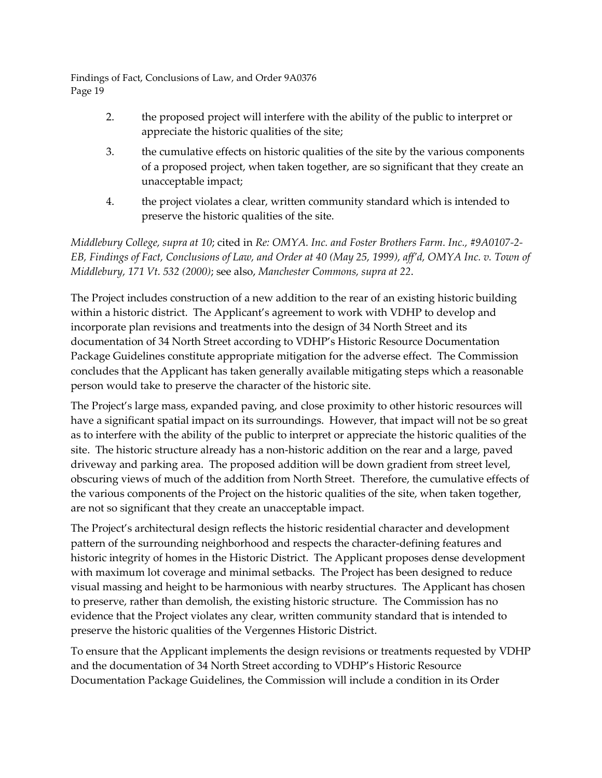- 2. the proposed project will interfere with the ability of the public to interpret or appreciate the historic qualities of the site;
- 3. the cumulative effects on historic qualities of the site by the various components of a proposed project, when taken together, are so significant that they create an unacceptable impact;
- 4. the project violates a clear, written community standard which is intended to preserve the historic qualities of the site.

*Middlebury College, supra at 10*; cited in *Re: OMYA. Inc. and Foster Brothers Farm. Inc., #9A0107-2- EB, Findings of Fact, Conclusions of Law, and Order at 40 (May 25, 1999), aff'd, OMYA Inc. v. Town of Middlebury, 171 Vt. 532 (2000)*; see also, *Manchester Commons, supra at 22*.

The Project includes construction of a new addition to the rear of an existing historic building within a historic district. The Applicant's agreement to work with VDHP to develop and incorporate plan revisions and treatments into the design of 34 North Street and its documentation of 34 North Street according to VDHP's Historic Resource Documentation Package Guidelines constitute appropriate mitigation for the adverse effect. The Commission concludes that the Applicant has taken generally available mitigating steps which a reasonable person would take to preserve the character of the historic site.

The Project's large mass, expanded paving, and close proximity to other historic resources will have a significant spatial impact on its surroundings. However, that impact will not be so great as to interfere with the ability of the public to interpret or appreciate the historic qualities of the site. The historic structure already has a non-historic addition on the rear and a large, paved driveway and parking area. The proposed addition will be down gradient from street level, obscuring views of much of the addition from North Street. Therefore, the cumulative effects of the various components of the Project on the historic qualities of the site, when taken together, are not so significant that they create an unacceptable impact.

The Project's architectural design reflects the historic residential character and development pattern of the surrounding neighborhood and respects the character-defining features and historic integrity of homes in the Historic District. The Applicant proposes dense development with maximum lot coverage and minimal setbacks. The Project has been designed to reduce visual massing and height to be harmonious with nearby structures. The Applicant has chosen to preserve, rather than demolish, the existing historic structure. The Commission has no evidence that the Project violates any clear, written community standard that is intended to preserve the historic qualities of the Vergennes Historic District.

To ensure that the Applicant implements the design revisions or treatments requested by VDHP and the documentation of 34 North Street according to VDHP's Historic Resource Documentation Package Guidelines, the Commission will include a condition in its Order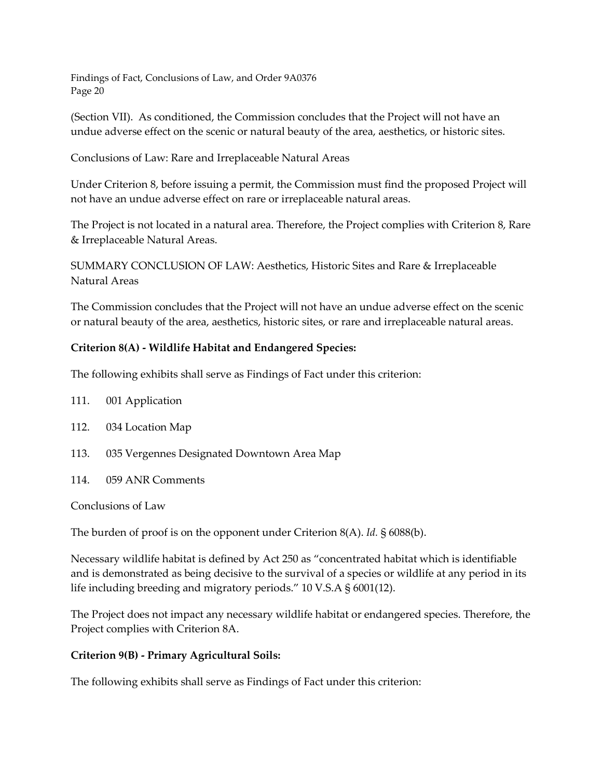(Section VII). As conditioned, the Commission concludes that the Project will not have an undue adverse effect on the scenic or natural beauty of the area, aesthetics, or historic sites.

Conclusions of Law: Rare and Irreplaceable Natural Areas

Under Criterion 8, before issuing a permit, the Commission must find the proposed Project will not have an undue adverse effect on rare or irreplaceable natural areas.

The Project is not located in a natural area. Therefore, the Project complies with Criterion 8, Rare & Irreplaceable Natural Areas.

SUMMARY CONCLUSION OF LAW: Aesthetics, Historic Sites and Rare & Irreplaceable Natural Areas

The Commission concludes that the Project will not have an undue adverse effect on the scenic or natural beauty of the area, aesthetics, historic sites, or rare and irreplaceable natural areas.

# **Criterion 8(A) - Wildlife Habitat and Endangered Species:**

The following exhibits shall serve as Findings of Fact under this criterion:

- 111. 001 Application
- 112. 034 Location Map
- 113. 035 Vergennes Designated Downtown Area Map
- 114. 059 ANR Comments

Conclusions of Law

The burden of proof is on the opponent under Criterion 8(A). *Id.* § 6088(b).

Necessary wildlife habitat is defined by Act 250 as "concentrated habitat which is identifiable and is demonstrated as being decisive to the survival of a species or wildlife at any period in its life including breeding and migratory periods." 10 V.S.A § 6001(12).

The Project does not impact any necessary wildlife habitat or endangered species. Therefore, the Project complies with Criterion 8A.

#### **Criterion 9(B) - Primary Agricultural Soils:**

The following exhibits shall serve as Findings of Fact under this criterion: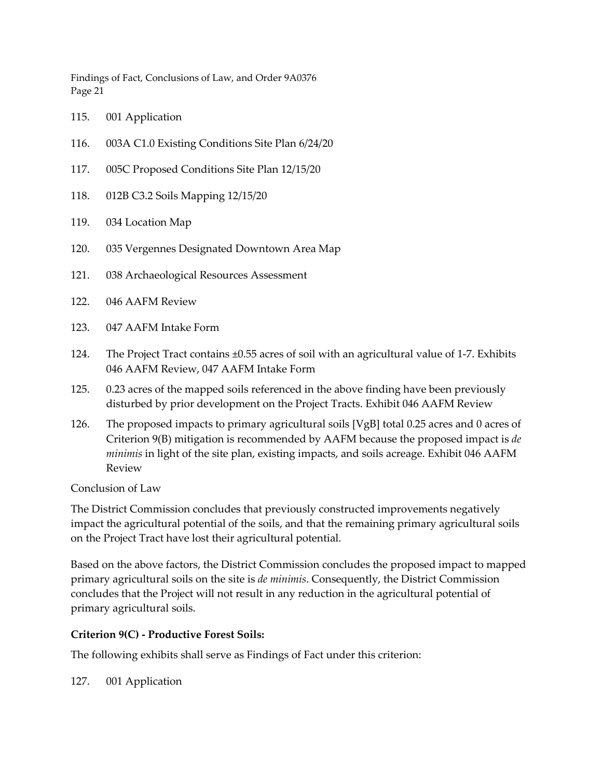- 115. 001 Application
- 116. 003A C1.0 Existing Conditions Site Plan 6/24/20
- 117. 005C Proposed Conditions Site Plan 12/15/20
- 118. 012B C3.2 Soils Mapping 12/15/20
- 119. 034 Location Map
- 120. 035 Vergennes Designated Downtown Area Map
- 121. 038 Archaeological Resources Assessment
- 122. 046 AAFM Review
- 123. 047 AAFM Intake Form
- 124. The Project Tract contains ±0.55 acres of soil with an agricultural value of 1-7. Exhibits 046 AAFM Review, 047 AAFM Intake Form
- 125. 0.23 acres of the mapped soils referenced in the above finding have been previously disturbed by prior development on the Project Tracts. Exhibit 046 AAFM Review
- 126. The proposed impacts to primary agricultural soils [VgB] total 0.25 acres and 0 acres of Criterion 9(B) mitigation is recommended by AAFM because the proposed impact is *de minimis* in light of the site plan, existing impacts, and soils acreage. Exhibit 046 AAFM Review

Conclusion of Law

The District Commission concludes that previously constructed improvements negatively impact the agricultural potential of the soils, and that the remaining primary agricultural soils on the Project Tract have lost their agricultural potential.

Based on the above factors, the District Commission concludes the proposed impact to mapped primary agricultural soils on the site is *de minimis*. Consequently, the District Commission concludes that the Project will not result in any reduction in the agricultural potential of primary agricultural soils.

# **Criterion 9(C) - Productive Forest Soils:**

The following exhibits shall serve as Findings of Fact under this criterion:

127. 001 Application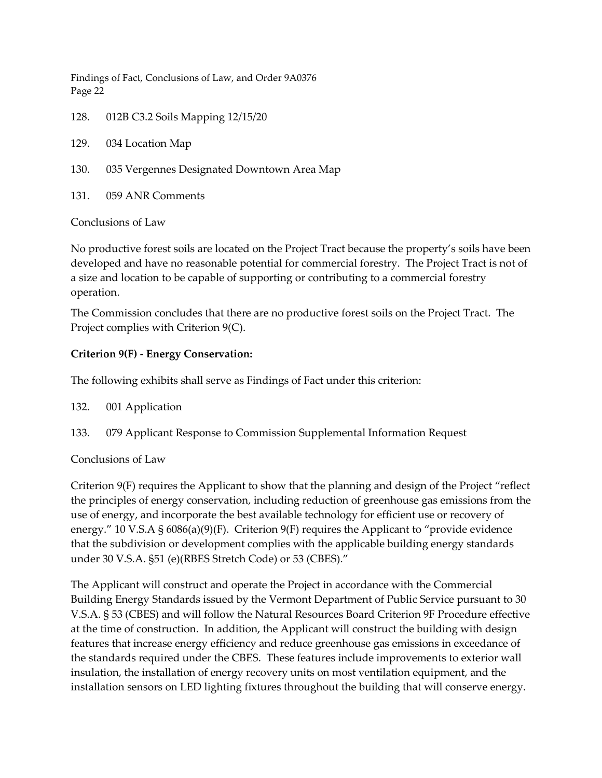128. 012B C3.2 Soils Mapping 12/15/20

129. 034 Location Map

- 130. 035 Vergennes Designated Downtown Area Map
- 131. 059 ANR Comments

# Conclusions of Law

No productive forest soils are located on the Project Tract because the property's soils have been developed and have no reasonable potential for commercial forestry. The Project Tract is not of a size and location to be capable of supporting or contributing to a commercial forestry operation.

The Commission concludes that there are no productive forest soils on the Project Tract. The Project complies with Criterion 9(C).

# **Criterion 9(F) - Energy Conservation:**

The following exhibits shall serve as Findings of Fact under this criterion:

- 132. 001 Application
- 133. 079 Applicant Response to Commission Supplemental Information Request

# Conclusions of Law

Criterion 9(F) requires the Applicant to show that the planning and design of the Project "reflect the principles of energy conservation, including reduction of greenhouse gas emissions from the use of energy, and incorporate the best available technology for efficient use or recovery of energy." 10 V.S.A  $\S$  6086(a)(9)(F). Criterion 9(F) requires the Applicant to "provide evidence that the subdivision or development complies with the applicable building energy standards under 30 V.S.A. §51 (e)(RBES Stretch Code) or 53 (CBES)."

The Applicant will construct and operate the Project in accordance with the Commercial Building Energy Standards issued by the Vermont Department of Public Service pursuant to 30 V.S.A. § 53 (CBES) and will follow the Natural Resources Board Criterion 9F Procedure effective at the time of construction. In addition, the Applicant will construct the building with design features that increase energy efficiency and reduce greenhouse gas emissions in exceedance of the standards required under the CBES. These features include improvements to exterior wall insulation, the installation of energy recovery units on most ventilation equipment, and the installation sensors on LED lighting fixtures throughout the building that will conserve energy.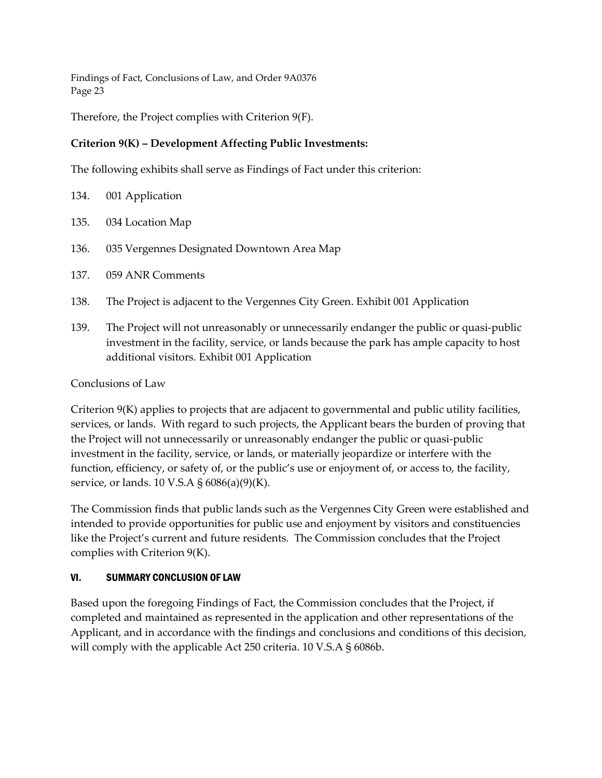Therefore, the Project complies with Criterion 9(F).

# **Criterion 9(K) – Development Affecting Public Investments:**

The following exhibits shall serve as Findings of Fact under this criterion:

| 134. | 001 Application |
|------|-----------------|
|      |                 |

- 135. 034 Location Map
- 136. 035 Vergennes Designated Downtown Area Map
- 137. 059 ANR Comments
- 138. The Project is adjacent to the Vergennes City Green. Exhibit 001 Application
- 139. The Project will not unreasonably or unnecessarily endanger the public or quasi-public investment in the facility, service, or lands because the park has ample capacity to host additional visitors. Exhibit 001 Application

# Conclusions of Law

Criterion 9(K) applies to projects that are adjacent to governmental and public utility facilities, services, or lands. With regard to such projects, the Applicant bears the burden of proving that the Project will not unnecessarily or unreasonably endanger the public or quasi-public investment in the facility, service, or lands, or materially jeopardize or interfere with the function, efficiency, or safety of, or the public's use or enjoyment of, or access to, the facility, service, or lands. 10 V.S.A § 6086(a)(9)(K).

The Commission finds that public lands such as the Vergennes City Green were established and intended to provide opportunities for public use and enjoyment by visitors and constituencies like the Project's current and future residents. The Commission concludes that the Project complies with Criterion 9(K).

# VI. SUMMARY CONCLUSION OF LAW

Based upon the foregoing Findings of Fact, the Commission concludes that the Project, if completed and maintained as represented in the application and other representations of the Applicant, and in accordance with the findings and conclusions and conditions of this decision, will comply with the applicable Act 250 criteria. 10 V.S.A § 6086b.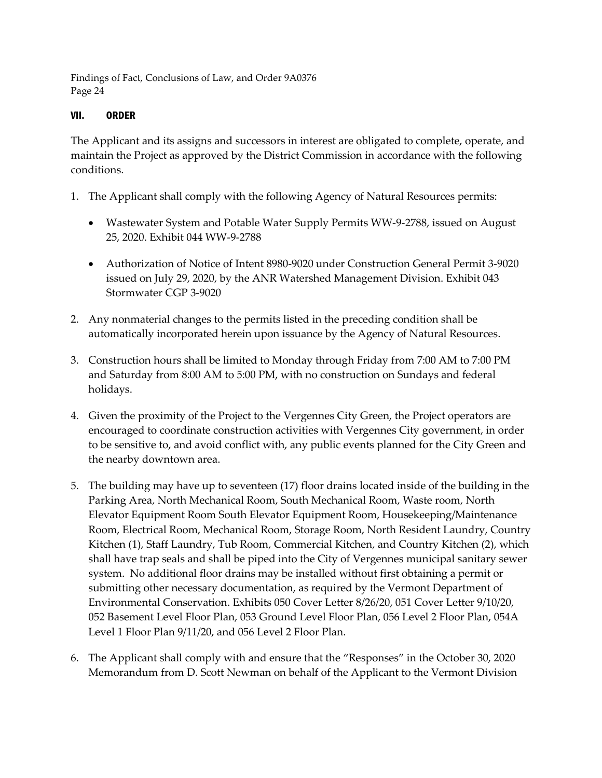# VII. ORDER

The Applicant and its assigns and successors in interest are obligated to complete, operate, and maintain the Project as approved by the District Commission in accordance with the following conditions.

- 1. The Applicant shall comply with the following Agency of Natural Resources permits:
	- Wastewater System and Potable Water Supply Permits WW-9-2788, issued on August 25, 2020. Exhibit 044 WW-9-2788
	- Authorization of Notice of Intent 8980-9020 under Construction General Permit 3-9020 issued on July 29, 2020, by the ANR Watershed Management Division. Exhibit 043 Stormwater CGP 3-9020
- 2. Any nonmaterial changes to the permits listed in the preceding condition shall be automatically incorporated herein upon issuance by the Agency of Natural Resources.
- 3. Construction hours shall be limited to Monday through Friday from 7:00 AM to 7:00 PM and Saturday from 8:00 AM to 5:00 PM, with no construction on Sundays and federal holidays.
- 4. Given the proximity of the Project to the Vergennes City Green, the Project operators are encouraged to coordinate construction activities with Vergennes City government, in order to be sensitive to, and avoid conflict with, any public events planned for the City Green and the nearby downtown area.
- 5. The building may have up to seventeen (17) floor drains located inside of the building in the Parking Area, North Mechanical Room, South Mechanical Room, Waste room, North Elevator Equipment Room South Elevator Equipment Room, Housekeeping/Maintenance Room, Electrical Room, Mechanical Room, Storage Room, North Resident Laundry, Country Kitchen (1), Staff Laundry, Tub Room, Commercial Kitchen, and Country Kitchen (2), which shall have trap seals and shall be piped into the City of Vergennes municipal sanitary sewer system. No additional floor drains may be installed without first obtaining a permit or submitting other necessary documentation, as required by the Vermont Department of Environmental Conservation. Exhibits 050 Cover Letter 8/26/20, 051 Cover Letter 9/10/20, 052 Basement Level Floor Plan, 053 Ground Level Floor Plan, 056 Level 2 Floor Plan, 054A Level 1 Floor Plan 9/11/20, and 056 Level 2 Floor Plan.
- 6. The Applicant shall comply with and ensure that the "Responses" in the October 30, 2020 Memorandum from D. Scott Newman on behalf of the Applicant to the Vermont Division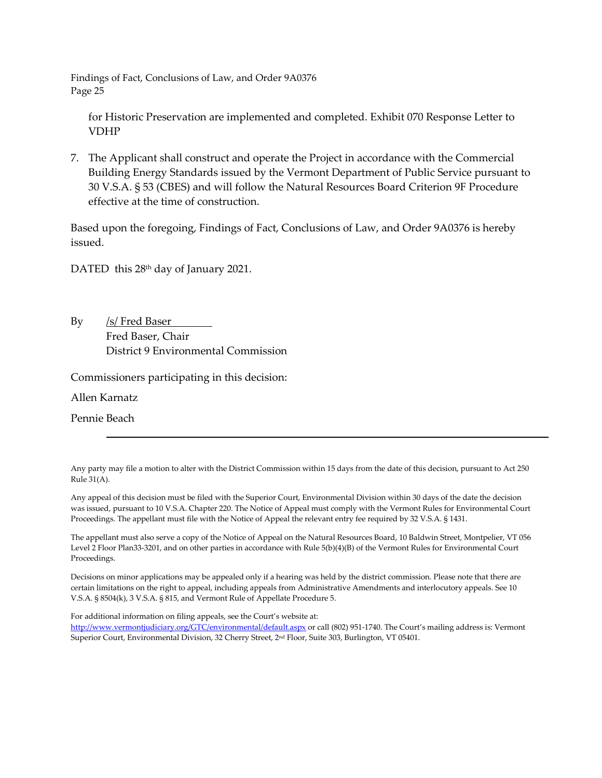for Historic Preservation are implemented and completed. Exhibit 070 Response Letter to VDHP

7. The Applicant shall construct and operate the Project in accordance with the Commercial Building Energy Standards issued by the Vermont Department of Public Service pursuant to 30 V.S.A. § 53 (CBES) and will follow the Natural Resources Board Criterion 9F Procedure effective at the time of construction.

Based upon the foregoing, Findings of Fact, Conclusions of Law, and Order 9A0376 is hereby issued.

DATED this 28<sup>th</sup> day of January 2021.

By /s/ Fred Baser Fred Baser, Chair District 9 Environmental Commission

Commissioners participating in this decision:

Allen Karnatz

Pennie Beach

Any party may file a motion to alter with the District Commission within 15 days from the date of this decision, pursuant to Act 250 Rule 31(A).

Any appeal of this decision must be filed with the Superior Court, Environmental Division within 30 days of the date the decision was issued, pursuant to 10 V.S.A. Chapter 220. The Notice of Appeal must comply with the Vermont Rules for Environmental Court Proceedings. The appellant must file with the Notice of Appeal the relevant entry fee required by 32 V.S.A. § 1431.

The appellant must also serve a copy of the Notice of Appeal on the Natural Resources Board, 10 Baldwin Street, Montpelier, VT 056 Level 2 Floor Plan33-3201, and on other parties in accordance with Rule 5(b)(4)(B) of the Vermont Rules for Environmental Court Proceedings.

Decisions on minor applications may be appealed only if a hearing was held by the district commission. Please note that there are certain limitations on the right to appeal, including appeals from Administrative Amendments and interlocutory appeals. See 10 V.S.A. § 8504(k), 3 V.S.A. § 815, and Vermont Rule of Appellate Procedure 5.

For additional information on filing appeals, see the Court's website at:

<http://www.vermontjudiciary.org/GTC/environmental/default.aspx> or call (802) 951-1740. The Court's mailing address is: Vermont Superior Court, Environmental Division, 32 Cherry Street, 2nd Floor, Suite 303, Burlington, VT 05401.